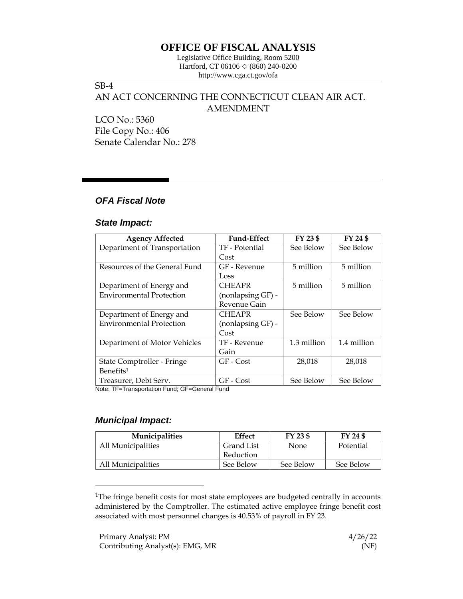# **OFFICE OF FISCAL ANALYSIS**

Legislative Office Building, Room 5200 Hartford, CT 06106  $\Diamond$  (860) 240-0200 http://www.cga.ct.gov/ofa

## SB-4

# AN ACT CONCERNING THE CONNECTICUT CLEAN AIR ACT. AMENDMENT

LCO No.: 5360 File Copy No.: 406 Senate Calendar No.: 278

### *OFA Fiscal Note*

#### *State Impact:*

| <b>Agency Affected</b>          | <b>Fund-Effect</b> | FY 23 \$    | FY 24 \$    |
|---------------------------------|--------------------|-------------|-------------|
| Department of Transportation    | TF - Potential     | See Below   | See Below   |
|                                 | Cost               |             |             |
| Resources of the General Fund   | GF - Revenue       | 5 million   | 5 million   |
|                                 | Loss               |             |             |
| Department of Energy and        | <b>CHEAPR</b>      | 5 million   | 5 million   |
| <b>Environmental Protection</b> | (nonlapsing GF) -  |             |             |
|                                 | Revenue Gain       |             |             |
| Department of Energy and        | <b>CHEAPR</b>      | See Below   | See Below   |
| <b>Environmental Protection</b> | (nonlapsing GF) -  |             |             |
|                                 | Cost               |             |             |
| Department of Motor Vehicles    | TF - Revenue       | 1.3 million | 1.4 million |
|                                 | Gain               |             |             |
| State Comptroller - Fringe      | $GF - Cost$        | 28,018      | 28,018      |
| Benefits <sup>1</sup>           |                    |             |             |
| Treasurer, Debt Serv.           | GF - Cost          | See Below   | See Below   |

Note: TF=Transportation Fund; GF=General Fund

### *Municipal Impact:*

| <b>Municipalities</b> | Effect     | FY 23 \$  | FY 24 \$  |
|-----------------------|------------|-----------|-----------|
| All Municipalities    | Grand List | None      | Potential |
|                       | Reduction  |           |           |
| All Municipalities    | See Below  | See Below | See Below |

<sup>&</sup>lt;sup>1</sup>The fringe benefit costs for most state employees are budgeted centrally in accounts administered by the Comptroller. The estimated active employee fringe benefit cost associated with most personnel changes is 40.53% of payroll in FY 23.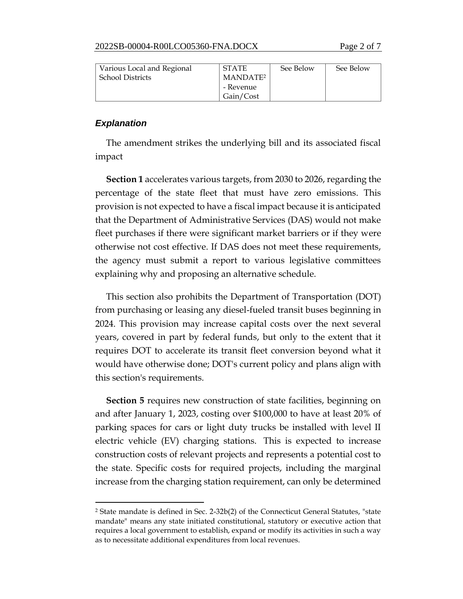| Various Local and Regional | <b>STATE</b>         | See Below | See Below |
|----------------------------|----------------------|-----------|-----------|
| <b>School Districts</b>    | MANDATE <sup>2</sup> |           |           |
|                            | - Revenue            |           |           |
|                            | Gain/Cost            |           |           |

#### *Explanation*

The amendment strikes the underlying bill and its associated fiscal impact

**Section 1** accelerates various targets, from 2030 to 2026, regarding the percentage of the state fleet that must have zero emissions. This provision is not expected to have a fiscal impact because it is anticipated that the Department of Administrative Services (DAS) would not make fleet purchases if there were significant market barriers or if they were otherwise not cost effective. If DAS does not meet these requirements, the agency must submit a report to various legislative committees explaining why and proposing an alternative schedule.

This section also prohibits the Department of Transportation (DOT) from purchasing or leasing any diesel-fueled transit buses beginning in 2024. This provision may increase capital costs over the next several years, covered in part by federal funds, but only to the extent that it requires DOT to accelerate its transit fleet conversion beyond what it would have otherwise done; DOT's current policy and plans align with this section's requirements.

**Section 5** requires new construction of state facilities, beginning on and after January 1, 2023, costing over \$100,000 to have at least 20% of parking spaces for cars or light duty trucks be installed with level II electric vehicle (EV) charging stations. This is expected to increase construction costs of relevant projects and represents a potential cost to the state. Specific costs for required projects, including the marginal increase from the charging station requirement, can only be determined

<sup>2</sup> State mandate is defined in Sec. 2-32b(2) of the Connecticut General Statutes, "state mandate" means any state initiated constitutional, statutory or executive action that requires a local government to establish, expand or modify its activities in such a way as to necessitate additional expenditures from local revenues.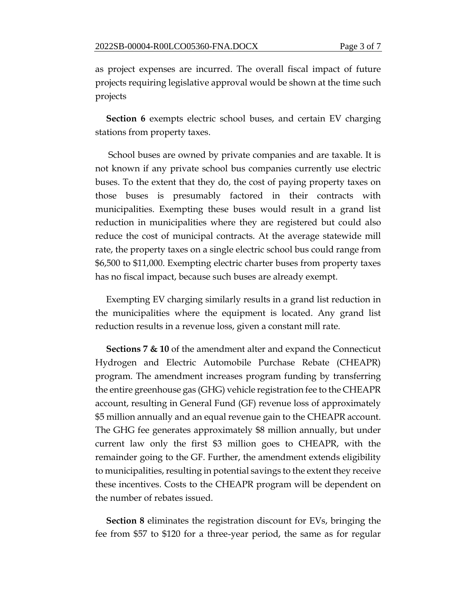as project expenses are incurred. The overall fiscal impact of future projects requiring legislative approval would be shown at the time such projects

**Section 6** exempts electric school buses, and certain EV charging stations from property taxes.

School buses are owned by private companies and are taxable. It is not known if any private school bus companies currently use electric buses. To the extent that they do, the cost of paying property taxes on those buses is presumably factored in their contracts with municipalities. Exempting these buses would result in a grand list reduction in municipalities where they are registered but could also reduce the cost of municipal contracts. At the average statewide mill rate, the property taxes on a single electric school bus could range from \$6,500 to \$11,000. Exempting electric charter buses from property taxes has no fiscal impact, because such buses are already exempt.

Exempting EV charging similarly results in a grand list reduction in the municipalities where the equipment is located. Any grand list reduction results in a revenue loss, given a constant mill rate.

**Sections 7 & 10** of the amendment alter and expand the Connecticut Hydrogen and Electric Automobile Purchase Rebate (CHEAPR) program. The amendment increases program funding by transferring the entire greenhouse gas (GHG) vehicle registration fee to the CHEAPR account, resulting in General Fund (GF) revenue loss of approximately \$5 million annually and an equal revenue gain to the CHEAPR account. The GHG fee generates approximately \$8 million annually, but under current law only the first \$3 million goes to CHEAPR, with the remainder going to the GF. Further, the amendment extends eligibility to municipalities, resulting in potential savings to the extent they receive these incentives. Costs to the CHEAPR program will be dependent on the number of rebates issued.

**Section 8** eliminates the registration discount for EVs, bringing the fee from \$57 to \$120 for a three-year period, the same as for regular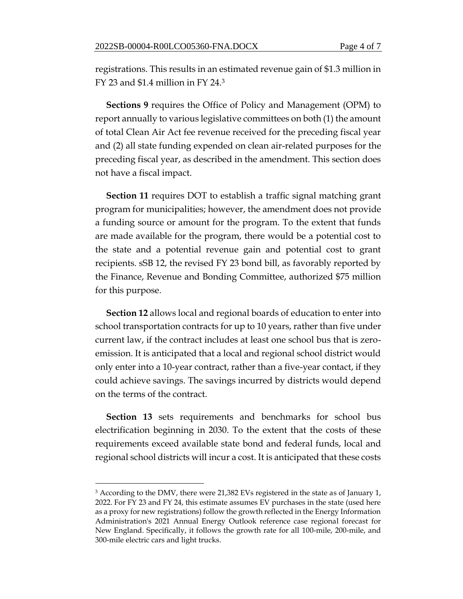registrations. This results in an estimated revenue gain of \$1.3 million in FY 23 and \$1.4 million in FY 24.<sup>3</sup>

**Sections 9** requires the Office of Policy and Management (OPM) to report annually to various legislative committees on both (1) the amount of total Clean Air Act fee revenue received for the preceding fiscal year and (2) all state funding expended on clean air-related purposes for the preceding fiscal year, as described in the amendment. This section does not have a fiscal impact.

**Section 11** requires DOT to establish a traffic signal matching grant program for municipalities; however, the amendment does not provide a funding source or amount for the program. To the extent that funds are made available for the program, there would be a potential cost to the state and a potential revenue gain and potential cost to grant recipients. sSB 12, the revised FY 23 bond bill, as favorably reported by the Finance, Revenue and Bonding Committee, authorized \$75 million for this purpose.

**Section 12** allows local and regional boards of education to enter into school transportation contracts for up to 10 years, rather than five under current law, if the contract includes at least one school bus that is zeroemission. It is anticipated that a local and regional school district would only enter into a 10-year contract, rather than a five-year contact, if they could achieve savings. The savings incurred by districts would depend on the terms of the contract.

**Section 13** sets requirements and benchmarks for school bus electrification beginning in 2030. To the extent that the costs of these requirements exceed available state bond and federal funds, local and regional school districts will incur a cost. It is anticipated that these costs

<sup>&</sup>lt;sup>3</sup> According to the DMV, there were 21,382 EVs registered in the state as of January 1, 2022. For FY 23 and FY 24, this estimate assumes EV purchases in the state (used here as a proxy for new registrations) follow the growth reflected in the Energy Information Administration's 2021 Annual Energy Outlook reference case regional forecast for New England. Specifically, it follows the growth rate for all 100-mile, 200-mile, and 300-mile electric cars and light trucks.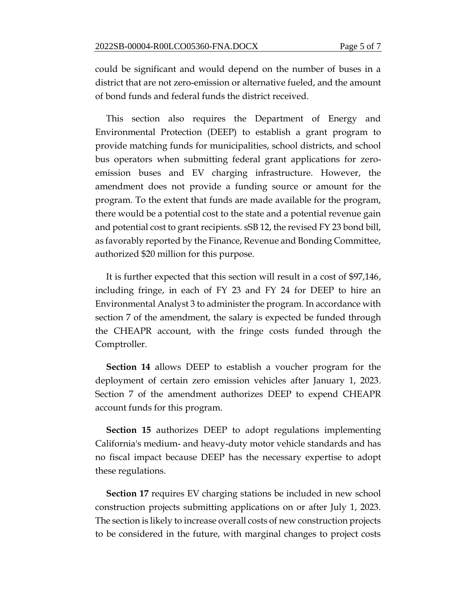could be significant and would depend on the number of buses in a district that are not zero-emission or alternative fueled, and the amount of bond funds and federal funds the district received.

This section also requires the Department of Energy and Environmental Protection (DEEP) to establish a grant program to provide matching funds for municipalities, school districts, and school bus operators when submitting federal grant applications for zeroemission buses and EV charging infrastructure. However, the amendment does not provide a funding source or amount for the program. To the extent that funds are made available for the program, there would be a potential cost to the state and a potential revenue gain and potential cost to grant recipients. sSB 12, the revised FY 23 bond bill, as favorably reported by the Finance, Revenue and Bonding Committee, authorized \$20 million for this purpose.

It is further expected that this section will result in a cost of \$97,146, including fringe, in each of FY 23 and FY 24 for DEEP to hire an Environmental Analyst 3 to administer the program. In accordance with section 7 of the amendment, the salary is expected be funded through the CHEAPR account, with the fringe costs funded through the Comptroller.

**Section 14** allows DEEP to establish a voucher program for the deployment of certain zero emission vehicles after January 1, 2023. Section 7 of the amendment authorizes DEEP to expend CHEAPR account funds for this program.

**Section 15** authorizes DEEP to adopt regulations implementing California's medium- and heavy-duty motor vehicle standards and has no fiscal impact because DEEP has the necessary expertise to adopt these regulations.

**Section 17** requires EV charging stations be included in new school construction projects submitting applications on or after July 1, 2023. The section is likely to increase overall costs of new construction projects to be considered in the future, with marginal changes to project costs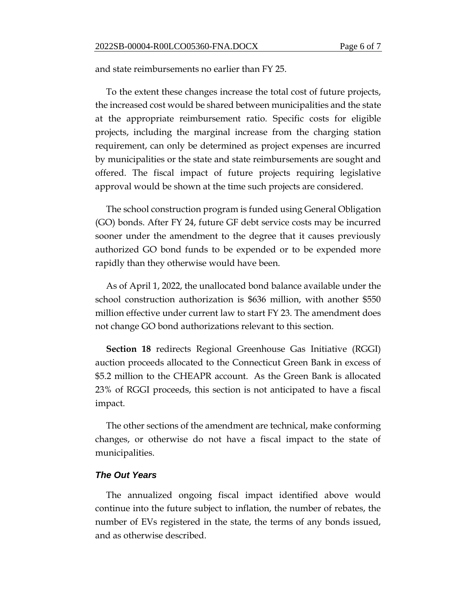and state reimbursements no earlier than FY 25.

To the extent these changes increase the total cost of future projects, the increased cost would be shared between municipalities and the state at the appropriate reimbursement ratio. Specific costs for eligible projects, including the marginal increase from the charging station requirement, can only be determined as project expenses are incurred by municipalities or the state and state reimbursements are sought and offered. The fiscal impact of future projects requiring legislative approval would be shown at the time such projects are considered.

The school construction program is funded using General Obligation (GO) bonds. After FY 24, future GF debt service costs may be incurred sooner under the amendment to the degree that it causes previously authorized GO bond funds to be expended or to be expended more rapidly than they otherwise would have been.

As of April 1, 2022, the unallocated bond balance available under the school construction authorization is \$636 million, with another \$550 million effective under current law to start FY 23. The amendment does not change GO bond authorizations relevant to this section.

**Section 18** redirects Regional Greenhouse Gas Initiative (RGGI) auction proceeds allocated to the Connecticut Green Bank in excess of \$5.2 million to the CHEAPR account. As the Green Bank is allocated 23% of RGGI proceeds, this section is not anticipated to have a fiscal impact.

The other sections of the amendment are technical, make conforming changes, or otherwise do not have a fiscal impact to the state of municipalities.

#### *The Out Years*

The annualized ongoing fiscal impact identified above would continue into the future subject to inflation, the number of rebates, the number of EVs registered in the state, the terms of any bonds issued, and as otherwise described.